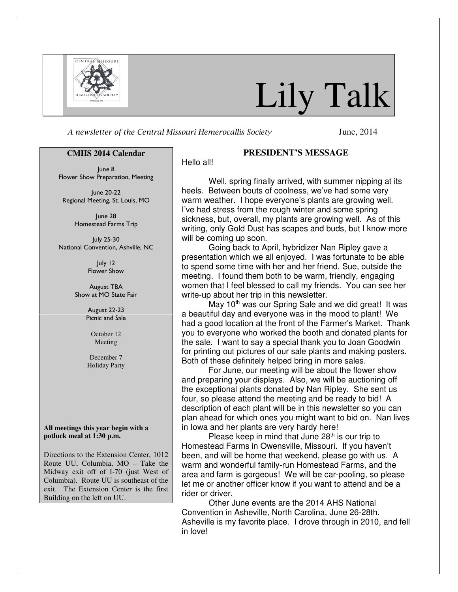

# Lily Talk

A newsletter of the Central Missouri Hemerocallis Society June, 2014

#### **CMHS 2014 Calendar**

June 8 Flower Show Preparation, Meeting

June 20-22 Regional Meeting, St. Louis, MO

> June 28 Homestead Farms Trip

July 25-30 National Convention, Ashville, NC

> July 12 Flower Show

August TBA Show at MO State Fair

> August 22-23 Picnic and Sale

> > October 12 Meeting

December 7 Holiday Party

**All meetings this year begin with a potluck meal at 1:30 p.m.** 

Directions to the Extension Center, 1012 Route UU, Columbia, MO – Take the Midway exit off of I-70 (just West of Columbia). Route UU is southeast of the exit. The Extension Center is the first Building on the left on UU.

#### **PRESIDENT'S MESSAGE**

Hello all!

Well, spring finally arrived, with summer nipping at its heels. Between bouts of coolness, we've had some very warm weather. I hope everyone's plants are growing well. I've had stress from the rough winter and some spring sickness, but, overall, my plants are growing well. As of this writing, only Gold Dust has scapes and buds, but I know more will be coming up soon.

Going back to April, hybridizer Nan Ripley gave a presentation which we all enjoyed. I was fortunate to be able to spend some time with her and her friend, Sue, outside the meeting. I found them both to be warm, friendly, engaging women that I feel blessed to call my friends. You can see her write-up about her trip in this newsletter.

May 10<sup>th</sup> was our Spring Sale and we did great! It was a beautiful day and everyone was in the mood to plant! We had a good location at the front of the Farmer's Market. Thank you to everyone who worked the booth and donated plants for the sale. I want to say a special thank you to Joan Goodwin for printing out pictures of our sale plants and making posters. Both of these definitely helped bring in more sales.

For June, our meeting will be about the flower show and preparing your displays. Also, we will be auctioning off the exceptional plants donated by Nan Ripley. She sent us four, so please attend the meeting and be ready to bid! A description of each plant will be in this newsletter so you can plan ahead for which ones you might want to bid on. Nan lives in Iowa and her plants are very hardy here!

Please keep in mind that June  $28<sup>th</sup>$  is our trip to Homestead Farms in Owensville, Missouri. If you haven't been, and will be home that weekend, please go with us. A warm and wonderful family-run Homestead Farms, and the area and farm is gorgeous! We will be car-pooling, so please let me or another officer know if you want to attend and be a rider or driver.

Other June events are the 2014 AHS National Convention in Asheville, North Carolina, June 26-28th. Asheville is my favorite place. I drove through in 2010, and fell in love!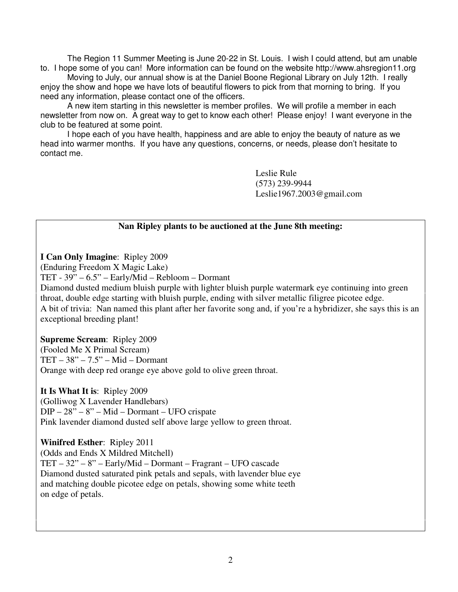The Region 11 Summer Meeting is June 20-22 in St. Louis. I wish I could attend, but am unable to. I hope some of you can! More information can be found on the website http://www.ahsregion11.org

 Moving to July, our annual show is at the Daniel Boone Regional Library on July 12th. I really enjoy the show and hope we have lots of beautiful flowers to pick from that morning to bring. If you need any information, please contact one of the officers.

A new item starting in this newsletter is member profiles. We will profile a member in each newsletter from now on. A great way to get to know each other! Please enjoy! I want everyone in the club to be featured at some point.

I hope each of you have health, happiness and are able to enjoy the beauty of nature as we head into warmer months. If you have any questions, concerns, or needs, please don't hesitate to contact me.

> Leslie Rule (573) 239-9944 Leslie1967.2003@gmail.com

#### **Nan Ripley plants to be auctioned at the June 8th meeting:**

**I Can Only Imagine**: Ripley 2009

(Enduring Freedom X Magic Lake)

TET - 39" – 6.5" – Early/Mid – Rebloom – Dormant

Diamond dusted medium bluish purple with lighter bluish purple watermark eye continuing into green throat, double edge starting with bluish purple, ending with silver metallic filigree picotee edge. A bit of trivia: Nan named this plant after her favorite song and, if you're a hybridizer, she says this is an exceptional breeding plant!

**Supreme Scream**: Ripley 2009

(Fooled Me X Primal Scream) TET – 38" – 7.5" – Mid – Dormant Orange with deep red orange eye above gold to olive green throat.

**It Is What It is**: Ripley 2009

(Golliwog X Lavender Handlebars) DIP – 28" – 8" – Mid – Dormant – UFO crispate Pink lavender diamond dusted self above large yellow to green throat.

**Winifred Esther**: Ripley 2011 (Odds and Ends X Mildred Mitchell) TET – 32" – 8" – Early/Mid – Dormant – Fragrant – UFO cascade Diamond dusted saturated pink petals and sepals, with lavender blue eye and matching double picotee edge on petals, showing some white teeth on edge of petals.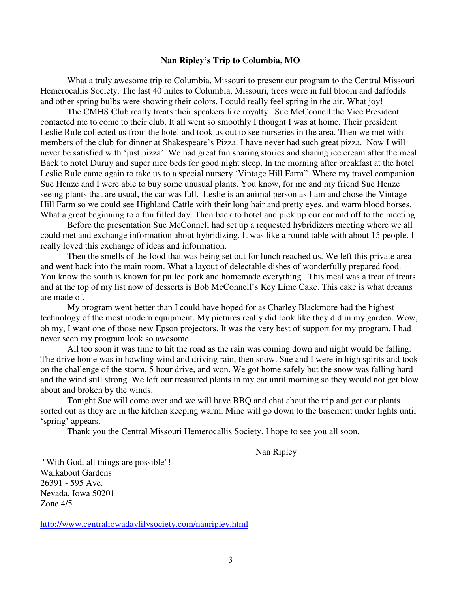#### **Nan Ripley's Trip to Columbia, MO**

What a truly awesome trip to Columbia, Missouri to present our program to the Central Missouri Hemerocallis Society. The last 40 miles to Columbia, Missouri, trees were in full bloom and daffodils and other spring bulbs were showing their colors. I could really feel spring in the air. What joy!

 The CMHS Club really treats their speakers like royalty. Sue McConnell the Vice President contacted me to come to their club. It all went so smoothly I thought I was at home. Their president Leslie Rule collected us from the hotel and took us out to see nurseries in the area. Then we met with members of the club for dinner at Shakespeare's Pizza. I have never had such great pizza. Now I will never be satisfied with 'just pizza'. We had great fun sharing stories and sharing ice cream after the meal. Back to hotel Duruy and super nice beds for good night sleep. In the morning after breakfast at the hotel Leslie Rule came again to take us to a special nursery 'Vintage Hill Farm". Where my travel companion Sue Henze and I were able to buy some unusual plants. You know, for me and my friend Sue Henze seeing plants that are usual, the car was full. Leslie is an animal person as I am and chose the Vintage Hill Farm so we could see Highland Cattle with their long hair and pretty eyes, and warm blood horses. What a great beginning to a fun filled day. Then back to hotel and pick up our car and off to the meeting.

 Before the presentation Sue McConnell had set up a requested hybridizers meeting where we all could met and exchange information about hybridizing. It was like a round table with about 15 people. I really loved this exchange of ideas and information.

 Then the smells of the food that was being set out for lunch reached us. We left this private area and went back into the main room. What a layout of delectable dishes of wonderfully prepared food. You know the south is known for pulled pork and homemade everything. This meal was a treat of treats and at the top of my list now of desserts is Bob McConnell's Key Lime Cake. This cake is what dreams are made of.

My program went better than I could have hoped for as Charley Blackmore had the highest technology of the most modern equipment. My pictures really did look like they did in my garden. Wow, oh my, I want one of those new Epson projectors. It was the very best of support for my program. I had never seen my program look so awesome.

All too soon it was time to hit the road as the rain was coming down and night would be falling. The drive home was in howling wind and driving rain, then snow. Sue and I were in high spirits and took on the challenge of the storm, 5 hour drive, and won. We got home safely but the snow was falling hard and the wind still strong. We left our treasured plants in my car until morning so they would not get blow about and broken by the winds.

 Tonight Sue will come over and we will have BBQ and chat about the trip and get our plants sorted out as they are in the kitchen keeping warm. Mine will go down to the basement under lights until 'spring' appears.

Thank you the Central Missouri Hemerocallis Society. I hope to see you all soon.

Nan Ripley

 "With God, all things are possible"! Walkabout Gardens 26391 - 595 Ave. Nevada, Iowa 50201 Zone 4/5

http://www.centraliowadaylilysociety.com/nanripley.html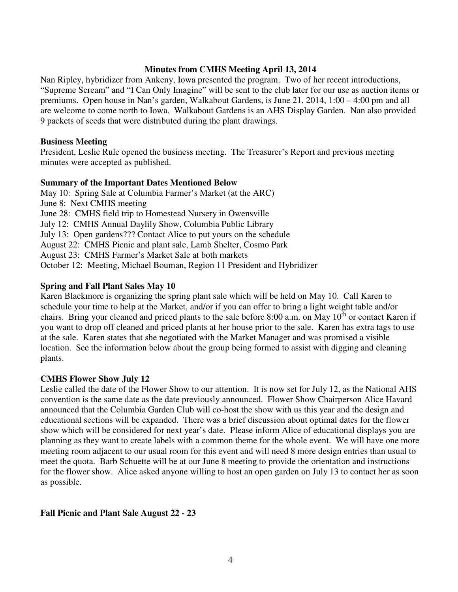#### **Minutes from CMHS Meeting April 13, 2014**

Nan Ripley, hybridizer from Ankeny, Iowa presented the program. Two of her recent introductions, "Supreme Scream" and "I Can Only Imagine" will be sent to the club later for our use as auction items or premiums. Open house in Nan's garden, Walkabout Gardens, is June 21, 2014, 1:00 – 4:00 pm and all are welcome to come north to Iowa. Walkabout Gardens is an AHS Display Garden. Nan also provided 9 packets of seeds that were distributed during the plant drawings.

#### **Business Meeting**

President, Leslie Rule opened the business meeting. The Treasurer's Report and previous meeting minutes were accepted as published.

#### **Summary of the Important Dates Mentioned Below**

May 10: Spring Sale at Columbia Farmer's Market (at the ARC) June 8: Next CMHS meeting June 28: CMHS field trip to Homestead Nursery in Owensville July 12: CMHS Annual Daylily Show, Columbia Public Library July 13: Open gardens??? Contact Alice to put yours on the schedule August 22: CMHS Picnic and plant sale, Lamb Shelter, Cosmo Park August 23: CMHS Farmer's Market Sale at both markets October 12: Meeting, Michael Bouman, Region 11 President and Hybridizer

#### **Spring and Fall Plant Sales May 10**

Karen Blackmore is organizing the spring plant sale which will be held on May 10. Call Karen to schedule your time to help at the Market, and/or if you can offer to bring a light weight table and/or chairs. Bring your cleaned and priced plants to the sale before 8:00 a.m. on May  $10<sup>th</sup>$  or contact Karen if you want to drop off cleaned and priced plants at her house prior to the sale. Karen has extra tags to use at the sale. Karen states that she negotiated with the Market Manager and was promised a visible location. See the information below about the group being formed to assist with digging and cleaning plants.

#### **CMHS Flower Show July 12**

Leslie called the date of the Flower Show to our attention. It is now set for July 12, as the National AHS convention is the same date as the date previously announced. Flower Show Chairperson Alice Havard announced that the Columbia Garden Club will co-host the show with us this year and the design and educational sections will be expanded. There was a brief discussion about optimal dates for the flower show which will be considered for next year's date. Please inform Alice of educational displays you are planning as they want to create labels with a common theme for the whole event. We will have one more meeting room adjacent to our usual room for this event and will need 8 more design entries than usual to meet the quota. Barb Schuette will be at our June 8 meeting to provide the orientation and instructions for the flower show. Alice asked anyone willing to host an open garden on July 13 to contact her as soon as possible.

#### **Fall Picnic and Plant Sale August 22 - 23**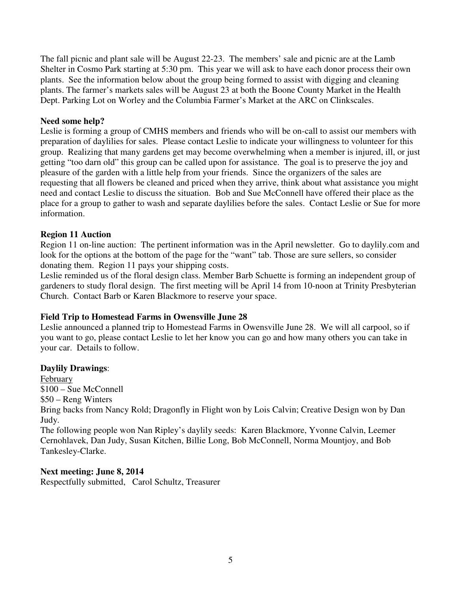The fall picnic and plant sale will be August 22-23. The members' sale and picnic are at the Lamb Shelter in Cosmo Park starting at 5:30 pm. This year we will ask to have each donor process their own plants. See the information below about the group being formed to assist with digging and cleaning plants. The farmer's markets sales will be August 23 at both the Boone County Market in the Health Dept. Parking Lot on Worley and the Columbia Farmer's Market at the ARC on Clinkscales.

#### **Need some help?**

Leslie is forming a group of CMHS members and friends who will be on-call to assist our members with preparation of daylilies for sales. Please contact Leslie to indicate your willingness to volunteer for this group. Realizing that many gardens get may become overwhelming when a member is injured, ill, or just getting "too darn old" this group can be called upon for assistance. The goal is to preserve the joy and pleasure of the garden with a little help from your friends. Since the organizers of the sales are requesting that all flowers be cleaned and priced when they arrive, think about what assistance you might need and contact Leslie to discuss the situation. Bob and Sue McConnell have offered their place as the place for a group to gather to wash and separate daylilies before the sales. Contact Leslie or Sue for more information.

#### **Region 11 Auction**

Region 11 on-line auction: The pertinent information was in the April newsletter. Go to daylily.com and look for the options at the bottom of the page for the "want" tab. Those are sure sellers, so consider donating them. Region 11 pays your shipping costs.

Leslie reminded us of the floral design class. Member Barb Schuette is forming an independent group of gardeners to study floral design. The first meeting will be April 14 from 10-noon at Trinity Presbyterian Church. Contact Barb or Karen Blackmore to reserve your space.

#### **Field Trip to Homestead Farms in Owensville June 28**

Leslie announced a planned trip to Homestead Farms in Owensville June 28. We will all carpool, so if you want to go, please contact Leslie to let her know you can go and how many others you can take in your car. Details to follow.

#### **Daylily Drawings**:

February \$100 – Sue McConnell \$50 – Reng Winters Bring backs from Nancy Rold; Dragonfly in Flight won by Lois Calvin; Creative Design won by Dan Judy.

The following people won Nan Ripley's daylily seeds: Karen Blackmore, Yvonne Calvin, Leemer Cernohlavek, Dan Judy, Susan Kitchen, Billie Long, Bob McConnell, Norma Mountjoy, and Bob Tankesley-Clarke.

#### **Next meeting: June 8, 2014**

Respectfully submitted, Carol Schultz, Treasurer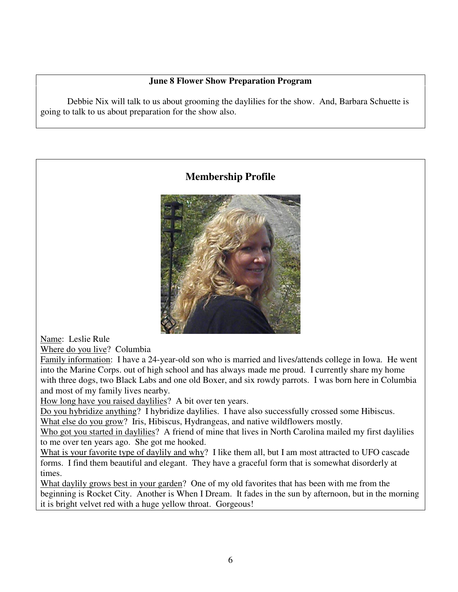### **June 8 Flower Show Preparation Program**

Debbie Nix will talk to us about grooming the daylilies for the show. And, Barbara Schuette is going to talk to us about preparation for the show also.

## **Membership Profile**



Name: Leslie Rule

Where do you live? Columbia

Family information: I have a 24-year-old son who is married and lives/attends college in Iowa. He went into the Marine Corps. out of high school and has always made me proud. I currently share my home with three dogs, two Black Labs and one old Boxer, and six rowdy parrots. I was born here in Columbia and most of my family lives nearby.

How long have you raised daylilies? A bit over ten years.

Do you hybridize anything? I hybridize daylilies. I have also successfully crossed some Hibiscus. What else do you grow? Iris, Hibiscus, Hydrangeas, and native wildflowers mostly.

Who got you started in daylilies? A friend of mine that lives in North Carolina mailed my first daylilies to me over ten years ago. She got me hooked.

What is your favorite type of daylily and why? I like them all, but I am most attracted to UFO cascade forms. I find them beautiful and elegant. They have a graceful form that is somewhat disorderly at times.

What daylily grows best in your garden? One of my old favorites that has been with me from the beginning is Rocket City. Another is When I Dream. It fades in the sun by afternoon, but in the morning it is bright velvet red with a huge yellow throat. Gorgeous!